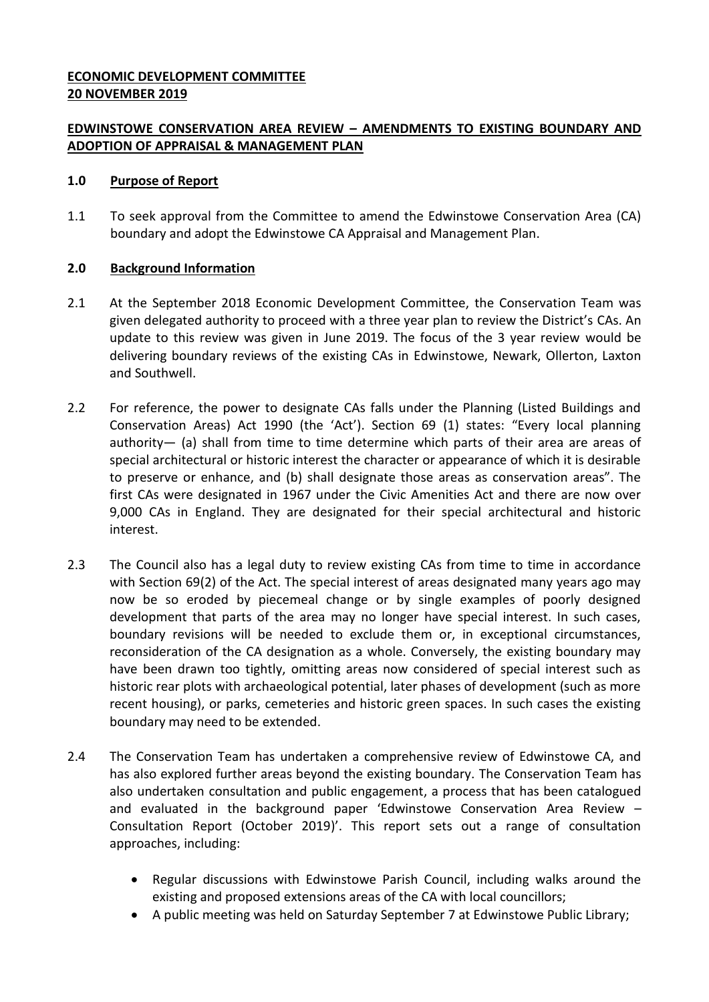# **ECONOMIC DEVELOPMENT COMMITTEE 20 NOVEMBER 2019**

# **EDWINSTOWE CONSERVATION AREA REVIEW – AMENDMENTS TO EXISTING BOUNDARY AND ADOPTION OF APPRAISAL & MANAGEMENT PLAN**

# **1.0 Purpose of Report**

1.1 To seek approval from the Committee to amend the Edwinstowe Conservation Area (CA) boundary and adopt the Edwinstowe CA Appraisal and Management Plan.

# **2.0 Background Information**

- 2.1 At the September 2018 Economic Development Committee, the Conservation Team was given delegated authority to proceed with a three year plan to review the District's CAs. An update to this review was given in June 2019. The focus of the 3 year review would be delivering boundary reviews of the existing CAs in Edwinstowe, Newark, Ollerton, Laxton and Southwell.
- 2.2 For reference, the power to designate CAs falls under the Planning (Listed Buildings and Conservation Areas) Act 1990 (the 'Act'). Section 69 (1) states: "Every local planning authority— (a) shall from time to time determine which parts of their area are areas of special architectural or historic interest the character or appearance of which it is desirable to preserve or enhance, and (b) shall designate those areas as conservation areas". The first CAs were designated in 1967 under the Civic Amenities Act and there are now over 9,000 CAs in England. They are designated for their special architectural and historic interest.
- 2.3 The Council also has a legal duty to review existing CAs from time to time in accordance with Section 69(2) of the Act. The special interest of areas designated many years ago may now be so eroded by piecemeal change or by single examples of poorly designed development that parts of the area may no longer have special interest. In such cases, boundary revisions will be needed to exclude them or, in exceptional circumstances, reconsideration of the CA designation as a whole. Conversely, the existing boundary may have been drawn too tightly, omitting areas now considered of special interest such as historic rear plots with archaeological potential, later phases of development (such as more recent housing), or parks, cemeteries and historic green spaces. In such cases the existing boundary may need to be extended.
- 2.4 The Conservation Team has undertaken a comprehensive review of Edwinstowe CA, and has also explored further areas beyond the existing boundary. The Conservation Team has also undertaken consultation and public engagement, a process that has been catalogued and evaluated in the background paper 'Edwinstowe Conservation Area Review – Consultation Report (October 2019)'. This report sets out a range of consultation approaches, including:
	- Regular discussions with Edwinstowe Parish Council, including walks around the existing and proposed extensions areas of the CA with local councillors;
	- A public meeting was held on Saturday September 7 at Edwinstowe Public Library;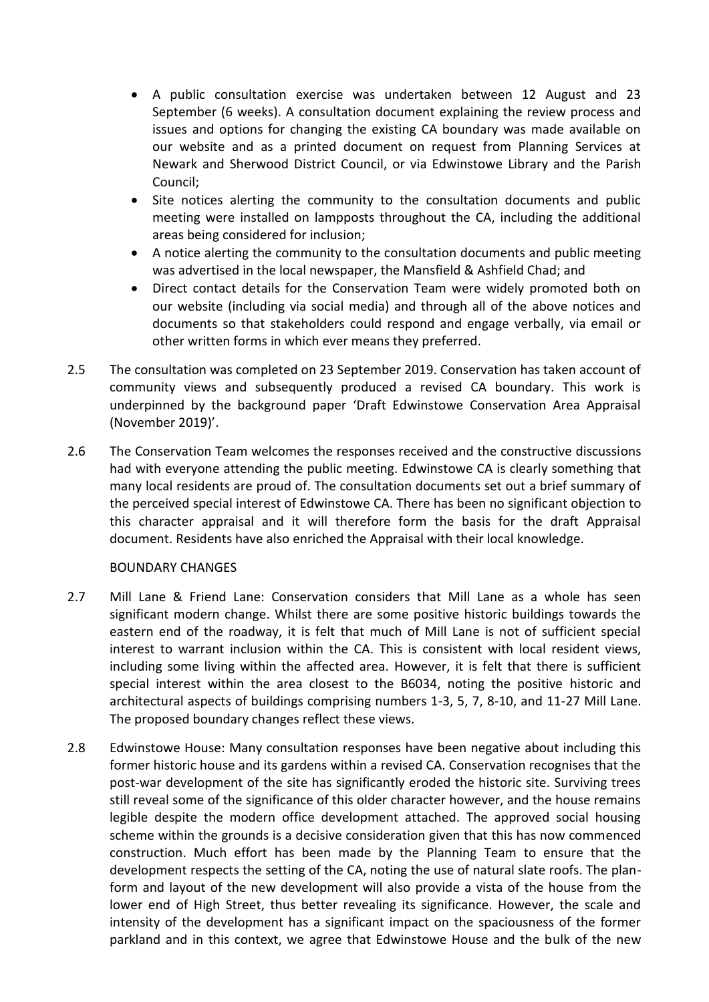- A public consultation exercise was undertaken between 12 August and 23 September (6 weeks). A consultation document explaining the review process and issues and options for changing the existing CA boundary was made available on our website and as a printed document on request from Planning Services at Newark and Sherwood District Council, or via Edwinstowe Library and the Parish Council;
- Site notices alerting the community to the consultation documents and public meeting were installed on lampposts throughout the CA, including the additional areas being considered for inclusion;
- A notice alerting the community to the consultation documents and public meeting was advertised in the local newspaper, the Mansfield & Ashfield Chad; and
- Direct contact details for the Conservation Team were widely promoted both on our website (including via social media) and through all of the above notices and documents so that stakeholders could respond and engage verbally, via email or other written forms in which ever means they preferred.
- 2.5 The consultation was completed on 23 September 2019. Conservation has taken account of community views and subsequently produced a revised CA boundary. This work is underpinned by the background paper 'Draft Edwinstowe Conservation Area Appraisal (November 2019)'.
- 2.6 The Conservation Team welcomes the responses received and the constructive discussions had with everyone attending the public meeting. Edwinstowe CA is clearly something that many local residents are proud of. The consultation documents set out a brief summary of the perceived special interest of Edwinstowe CA. There has been no significant objection to this character appraisal and it will therefore form the basis for the draft Appraisal document. Residents have also enriched the Appraisal with their local knowledge.

# BOUNDARY CHANGES

- 2.7 Mill Lane & Friend Lane: Conservation considers that Mill Lane as a whole has seen significant modern change. Whilst there are some positive historic buildings towards the eastern end of the roadway, it is felt that much of Mill Lane is not of sufficient special interest to warrant inclusion within the CA. This is consistent with local resident views, including some living within the affected area. However, it is felt that there is sufficient special interest within the area closest to the B6034, noting the positive historic and architectural aspects of buildings comprising numbers 1-3, 5, 7, 8-10, and 11-27 Mill Lane. The proposed boundary changes reflect these views.
- 2.8 Edwinstowe House: Many consultation responses have been negative about including this former historic house and its gardens within a revised CA. Conservation recognises that the post-war development of the site has significantly eroded the historic site. Surviving trees still reveal some of the significance of this older character however, and the house remains legible despite the modern office development attached. The approved social housing scheme within the grounds is a decisive consideration given that this has now commenced construction. Much effort has been made by the Planning Team to ensure that the development respects the setting of the CA, noting the use of natural slate roofs. The planform and layout of the new development will also provide a vista of the house from the lower end of High Street, thus better revealing its significance. However, the scale and intensity of the development has a significant impact on the spaciousness of the former parkland and in this context, we agree that Edwinstowe House and the bulk of the new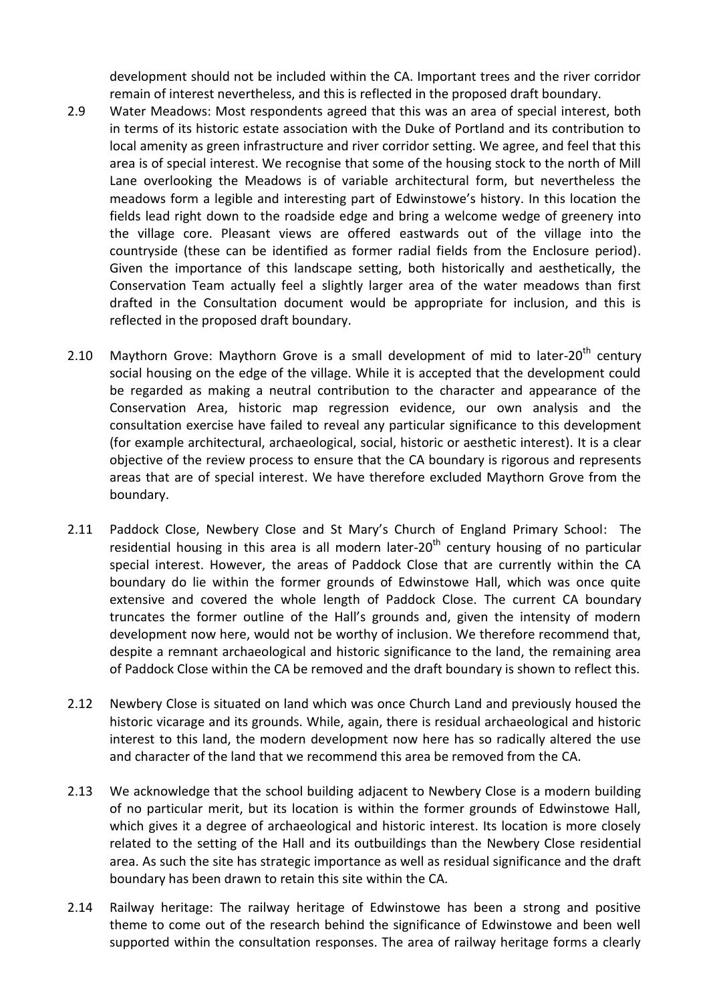development should not be included within the CA. Important trees and the river corridor remain of interest nevertheless, and this is reflected in the proposed draft boundary.

- 2.9 Water Meadows: Most respondents agreed that this was an area of special interest, both in terms of its historic estate association with the Duke of Portland and its contribution to local amenity as green infrastructure and river corridor setting. We agree, and feel that this area is of special interest. We recognise that some of the housing stock to the north of Mill Lane overlooking the Meadows is of variable architectural form, but nevertheless the meadows form a legible and interesting part of Edwinstowe's history. In this location the fields lead right down to the roadside edge and bring a welcome wedge of greenery into the village core. Pleasant views are offered eastwards out of the village into the countryside (these can be identified as former radial fields from the Enclosure period). Given the importance of this landscape setting, both historically and aesthetically, the Conservation Team actually feel a slightly larger area of the water meadows than first drafted in the Consultation document would be appropriate for inclusion, and this is reflected in the proposed draft boundary.
- 2.10 Maythorn Grove: Maythorn Grove is a small development of mid to later-20<sup>th</sup> century social housing on the edge of the village. While it is accepted that the development could be regarded as making a neutral contribution to the character and appearance of the Conservation Area, historic map regression evidence, our own analysis and the consultation exercise have failed to reveal any particular significance to this development (for example architectural, archaeological, social, historic or aesthetic interest). It is a clear objective of the review process to ensure that the CA boundary is rigorous and represents areas that are of special interest. We have therefore excluded Maythorn Grove from the boundary.
- 2.11 Paddock Close, Newbery Close and St Mary's Church of England Primary School: The residential housing in this area is all modern later-20<sup>th</sup> century housing of no particular special interest. However, the areas of Paddock Close that are currently within the CA boundary do lie within the former grounds of Edwinstowe Hall, which was once quite extensive and covered the whole length of Paddock Close. The current CA boundary truncates the former outline of the Hall's grounds and, given the intensity of modern development now here, would not be worthy of inclusion. We therefore recommend that, despite a remnant archaeological and historic significance to the land, the remaining area of Paddock Close within the CA be removed and the draft boundary is shown to reflect this.
- 2.12 Newbery Close is situated on land which was once Church Land and previously housed the historic vicarage and its grounds. While, again, there is residual archaeological and historic interest to this land, the modern development now here has so radically altered the use and character of the land that we recommend this area be removed from the CA.
- 2.13 We acknowledge that the school building adjacent to Newbery Close is a modern building of no particular merit, but its location is within the former grounds of Edwinstowe Hall, which gives it a degree of archaeological and historic interest. Its location is more closely related to the setting of the Hall and its outbuildings than the Newbery Close residential area. As such the site has strategic importance as well as residual significance and the draft boundary has been drawn to retain this site within the CA.
- 2.14 Railway heritage: The railway heritage of Edwinstowe has been a strong and positive theme to come out of the research behind the significance of Edwinstowe and been well supported within the consultation responses. The area of railway heritage forms a clearly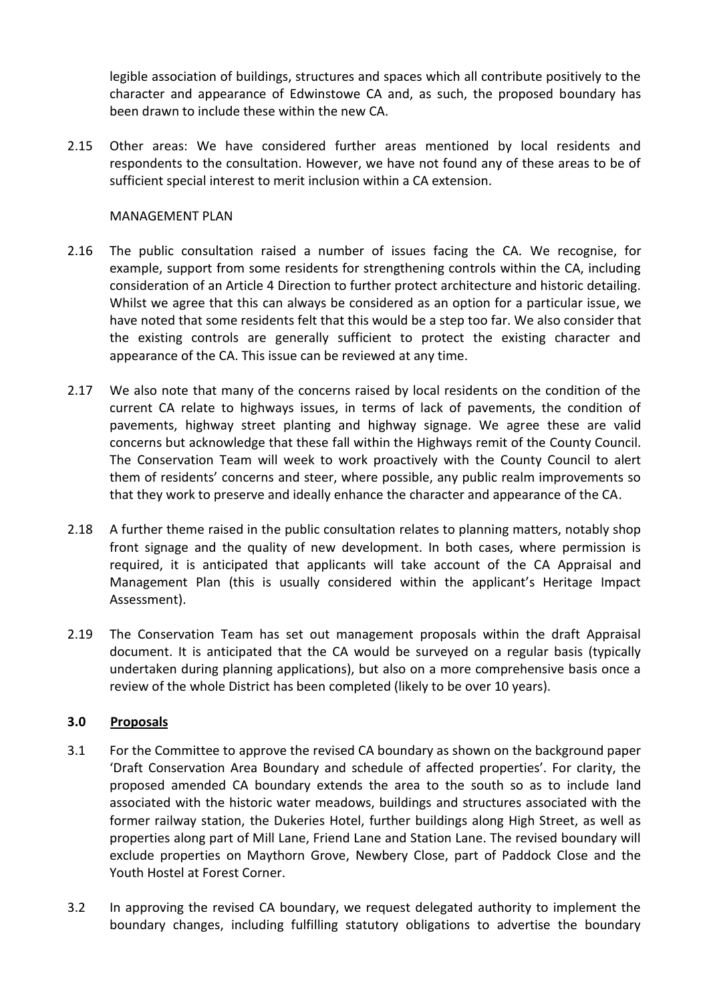legible association of buildings, structures and spaces which all contribute positively to the character and appearance of Edwinstowe CA and, as such, the proposed boundary has been drawn to include these within the new CA.

2.15 Other areas: We have considered further areas mentioned by local residents and respondents to the consultation. However, we have not found any of these areas to be of sufficient special interest to merit inclusion within a CA extension.

# MANAGEMENT PLAN

- 2.16 The public consultation raised a number of issues facing the CA. We recognise, for example, support from some residents for strengthening controls within the CA, including consideration of an Article 4 Direction to further protect architecture and historic detailing. Whilst we agree that this can always be considered as an option for a particular issue, we have noted that some residents felt that this would be a step too far. We also consider that the existing controls are generally sufficient to protect the existing character and appearance of the CA. This issue can be reviewed at any time.
- 2.17 We also note that many of the concerns raised by local residents on the condition of the current CA relate to highways issues, in terms of lack of pavements, the condition of pavements, highway street planting and highway signage. We agree these are valid concerns but acknowledge that these fall within the Highways remit of the County Council. The Conservation Team will week to work proactively with the County Council to alert them of residents' concerns and steer, where possible, any public realm improvements so that they work to preserve and ideally enhance the character and appearance of the CA.
- 2.18 A further theme raised in the public consultation relates to planning matters, notably shop front signage and the quality of new development. In both cases, where permission is required, it is anticipated that applicants will take account of the CA Appraisal and Management Plan (this is usually considered within the applicant's Heritage Impact Assessment).
- 2.19 The Conservation Team has set out management proposals within the draft Appraisal document. It is anticipated that the CA would be surveyed on a regular basis (typically undertaken during planning applications), but also on a more comprehensive basis once a review of the whole District has been completed (likely to be over 10 years).

# **3.0 Proposals**

- 3.1 For the Committee to approve the revised CA boundary as shown on the background paper 'Draft Conservation Area Boundary and schedule of affected properties'. For clarity, the proposed amended CA boundary extends the area to the south so as to include land associated with the historic water meadows, buildings and structures associated with the former railway station, the Dukeries Hotel, further buildings along High Street, as well as properties along part of Mill Lane, Friend Lane and Station Lane. The revised boundary will exclude properties on Maythorn Grove, Newbery Close, part of Paddock Close and the Youth Hostel at Forest Corner.
- 3.2 In approving the revised CA boundary, we request delegated authority to implement the boundary changes, including fulfilling statutory obligations to advertise the boundary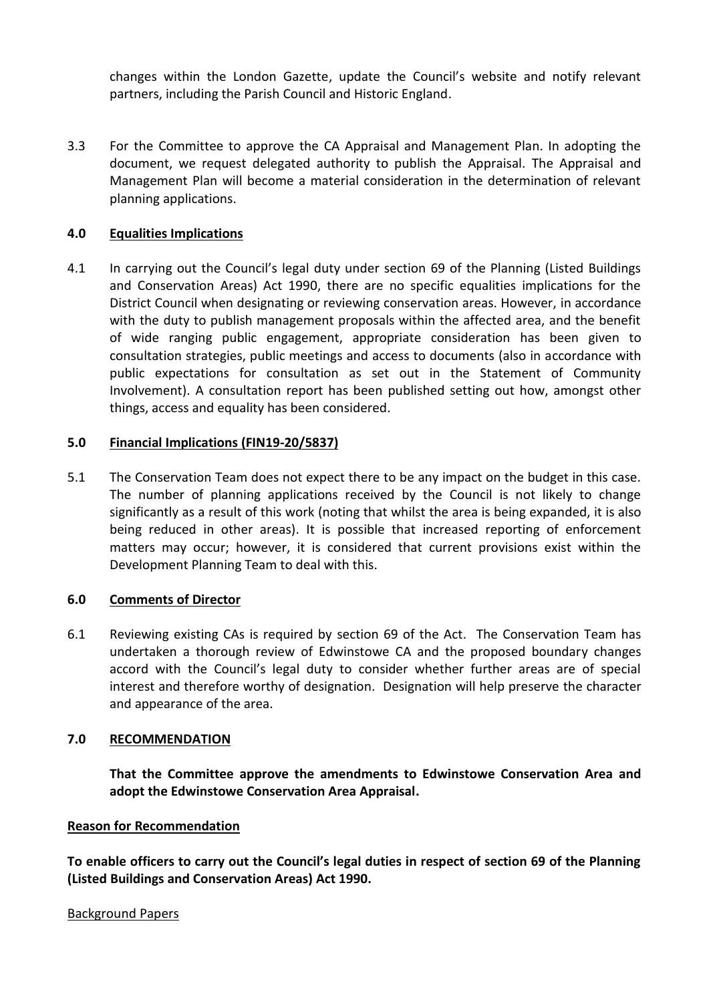changes within the London Gazette, update the Council's website and notify relevant partners, including the Parish Council and Historic England.

3.3 For the Committee to approve the CA Appraisal and Management Plan. In adopting the document, we request delegated authority to publish the Appraisal. The Appraisal and Management Plan will become a material consideration in the determination of relevant planning applications.

# **4.0 Equalities Implications**

4.1 In carrying out the Council's legal duty under section 69 of the Planning (Listed Buildings and Conservation Areas) Act 1990, there are no specific equalities implications for the District Council when designating or reviewing conservation areas. However, in accordance with the duty to publish management proposals within the affected area, and the benefit of wide ranging public engagement, appropriate consideration has been given to consultation strategies, public meetings and access to documents (also in accordance with public expectations for consultation as set out in the Statement of Community Involvement). A consultation report has been published setting out how, amongst other things, access and equality has been considered.

# **5.0 Financial Implications (FIN19-20/5837)**

5.1 The Conservation Team does not expect there to be any impact on the budget in this case. The number of planning applications received by the Council is not likely to change significantly as a result of this work (noting that whilst the area is being expanded, it is also being reduced in other areas). It is possible that increased reporting of enforcement matters may occur; however, it is considered that current provisions exist within the Development Planning Team to deal with this.

# **6.0 Comments of Director**

6.1 Reviewing existing CAs is required by section 69 of the Act. The Conservation Team has undertaken a thorough review of Edwinstowe CA and the proposed boundary changes accord with the Council's legal duty to consider whether further areas are of special interest and therefore worthy of designation. Designation will help preserve the character and appearance of the area.

# **7.0 RECOMMENDATION**

**That the Committee approve the amendments to Edwinstowe Conservation Area and adopt the Edwinstowe Conservation Area Appraisal.** 

# **Reason for Recommendation**

**To enable officers to carry out the Council's legal duties in respect of section 69 of the Planning (Listed Buildings and Conservation Areas) Act 1990.**

#### Background Papers